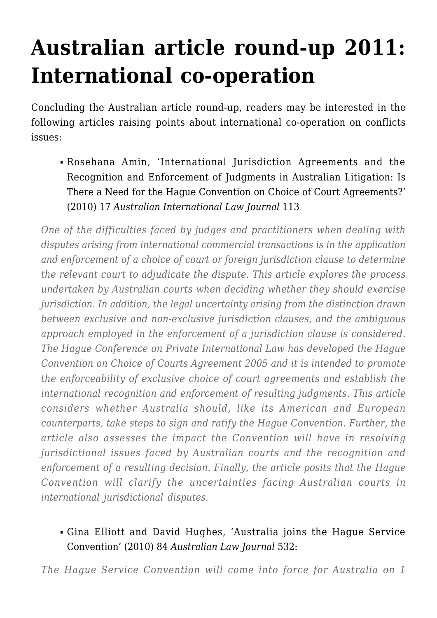## **[Australian article round-up 2011:](https://conflictoflaws.net/2011/australian-article-round-up-2011-international-co-operation/) [International co-operation](https://conflictoflaws.net/2011/australian-article-round-up-2011-international-co-operation/)**

Concluding the Australian article round-up, readers may be interested in the following articles raising points about international co-operation on conflicts issues:

Rosehana Amin, 'International Jurisdiction Agreements and the Recognition and Enforcement of Judgments in Australian Litigation: Is There a Need for the Hague Convention on Choice of Court Agreements?' (2010) 17 *Australian International Law Journal* 113

*One of the difficulties faced by judges and practitioners when dealing with disputes arising from international commercial transactions is in the application and enforcement of a choice of court or foreign jurisdiction clause to determine the relevant court to adjudicate the dispute. This article explores the process undertaken by Australian courts when deciding whether they should exercise jurisdiction. In addition, the legal uncertainty arising from the distinction drawn between exclusive and non-exclusive jurisdiction clauses, and the ambiguous approach employed in the enforcement of a jurisdiction clause is considered. The Hague Conference on Private International Law has developed the Hague Convention on Choice of Courts Agreement 2005 and it is intended to promote the enforceability of exclusive choice of court agreements and establish the international recognition and enforcement of resulting judgments. This article considers whether Australia should, like its American and European counterparts, take steps to sign and ratify the Hague Convention. Further, the article also assesses the impact the Convention will have in resolving jurisdictional issues faced by Australian courts and the recognition and enforcement of a resulting decision. Finally, the article posits that the Hague Convention will clarify the uncertainties facing Australian courts in international jurisdictional disputes.*

## Gina Elliott and David Hughes, 'Australia joins the Hague Service Convention' (2010) 84 *Australian Law Journal* 532:

*The Hague Service Convention will come into force for Australia on 1*